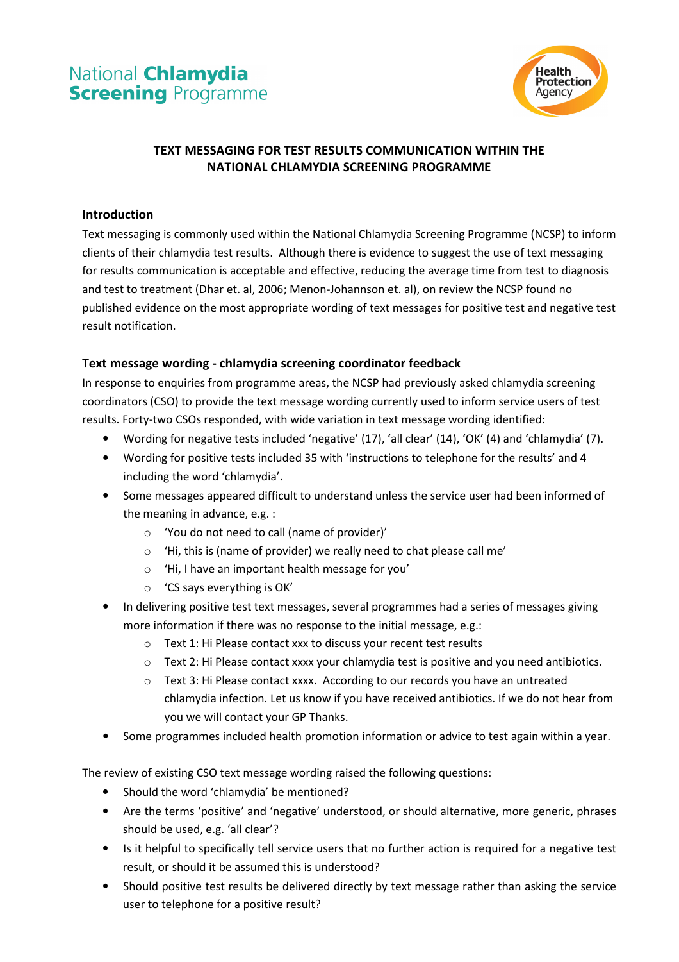# National **Chlamydia Screening Programme**



# TEXT MESSAGING FOR TEST RESULTS COMMUNICATION WITHIN THE NATIONAL CHLAMYDIA SCREENING PROGRAMME

#### Introduction

Text messaging is commonly used within the National Chlamydia Screening Programme (NCSP) to inform clients of their chlamydia test results. Although there is evidence to suggest the use of text messaging for results communication is acceptable and effective, reducing the average time from test to diagnosis and test to treatment (Dhar et. al, 2006; Menon-Johannson et. al), on review the NCSP found no published evidence on the most appropriate wording of text messages for positive test and negative test result notification.

## Text message wording - chlamydia screening coordinator feedback

In response to enquiries from programme areas, the NCSP had previously asked chlamydia screening coordinators (CSO) to provide the text message wording currently used to inform service users of test results. Forty-two CSOs responded, with wide variation in text message wording identified:

- Wording for negative tests included 'negative' (17), 'all clear' (14), 'OK' (4) and 'chlamydia' (7).
- Wording for positive tests included 35 with 'instructions to telephone for the results' and 4 including the word 'chlamydia'.
- Some messages appeared difficult to understand unless the service user had been informed of the meaning in advance, e.g. :
	- o 'You do not need to call (name of provider)'
	- o 'Hi, this is (name of provider) we really need to chat please call me'
	- o 'Hi, I have an important health message for you'
	- o 'CS says everything is OK'
- In delivering positive test text messages, several programmes had a series of messages giving more information if there was no response to the initial message, e.g.:
	- o Text 1: Hi Please contact xxx to discuss your recent test results
	- $\circ$  Text 2: Hi Please contact xxxx your chlamydia test is positive and you need antibiotics.
	- o Text 3: Hi Please contact xxxx. According to our records you have an untreated chlamydia infection. Let us know if you have received antibiotics. If we do not hear from you we will contact your GP Thanks.
- Some programmes included health promotion information or advice to test again within a year.

The review of existing CSO text message wording raised the following questions:

- Should the word 'chlamydia' be mentioned?
- Are the terms 'positive' and 'negative' understood, or should alternative, more generic, phrases should be used, e.g. 'all clear'?
- Is it helpful to specifically tell service users that no further action is required for a negative test result, or should it be assumed this is understood?
- Should positive test results be delivered directly by text message rather than asking the service user to telephone for a positive result?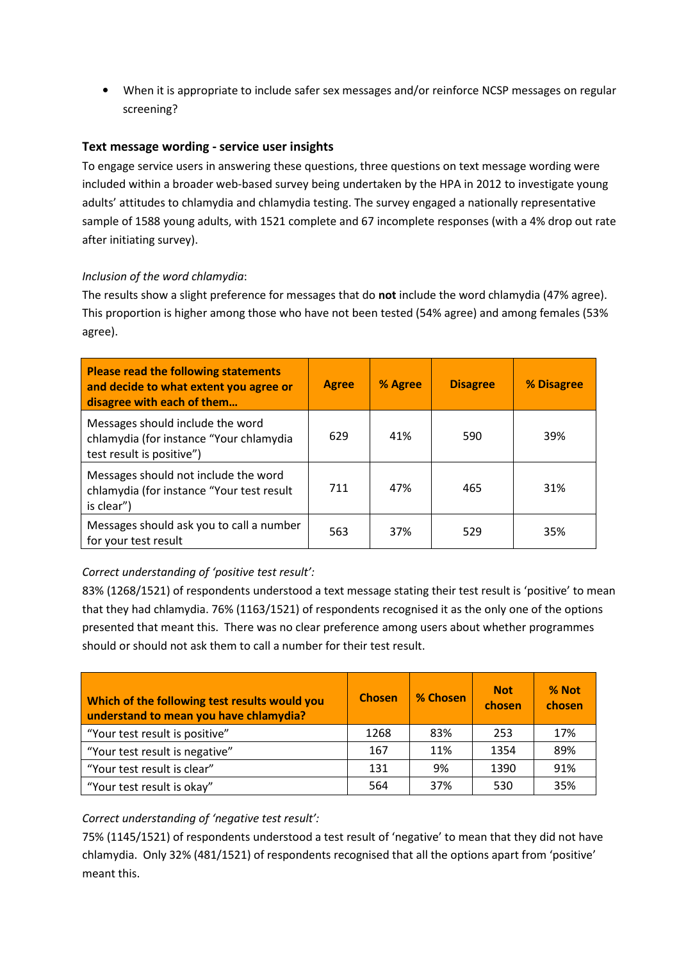• When it is appropriate to include safer sex messages and/or reinforce NCSP messages on regular screening?

## Text message wording - service user insights

To engage service users in answering these questions, three questions on text message wording were included within a broader web-based survey being undertaken by the HPA in 2012 to investigate young adults' attitudes to chlamydia and chlamydia testing. The survey engaged a nationally representative sample of 1588 young adults, with 1521 complete and 67 incomplete responses (with a 4% drop out rate after initiating survey).

#### Inclusion of the word chlamydia:

The results show a slight preference for messages that do **not** include the word chlamydia (47% agree). This proportion is higher among those who have not been tested (54% agree) and among females (53% agree).

| Please read the following statements<br>and decide to what extent you agree or<br>disagree with each of them | <b>Agree</b> | % Agree | <b>Disagree</b> | % Disagree |
|--------------------------------------------------------------------------------------------------------------|--------------|---------|-----------------|------------|
| Messages should include the word<br>chlamydia (for instance "Your chlamydia<br>test result is positive")     | 629          | 41%     | 590             | 39%        |
| Messages should not include the word<br>chlamydia (for instance "Your test result<br>is clear")              | 711          | 47%     | 465             | 31%        |
| Messages should ask you to call a number<br>for your test result                                             | 563          | 37%     | 529             | 35%        |

#### Correct understanding of 'positive test result':

83% (1268/1521) of respondents understood a text message stating their test result is 'positive' to mean that they had chlamydia. 76% (1163/1521) of respondents recognised it as the only one of the options presented that meant this. There was no clear preference among users about whether programmes should or should not ask them to call a number for their test result.

| Which of the following test results would you<br>understand to mean you have chlamydia? | <b>Chosen</b> | % Chosen | <b>Not</b><br>chosen | % Not<br>chosen |
|-----------------------------------------------------------------------------------------|---------------|----------|----------------------|-----------------|
| "Your test result is positive"                                                          | 1268          | 83%      | 253                  | 17%             |
| "Your test result is negative"                                                          | 167           | 11%      | 1354                 | 89%             |
| "Your test result is clear"                                                             | 131           | 9%       | 1390                 | 91%             |
| "Your test result is okay"                                                              | 564           | 37%      | 530                  | 35%             |

## Correct understanding of 'negative test result':

75% (1145/1521) of respondents understood a test result of 'negative' to mean that they did not have chlamydia. Only 32% (481/1521) of respondents recognised that all the options apart from 'positive' meant this.